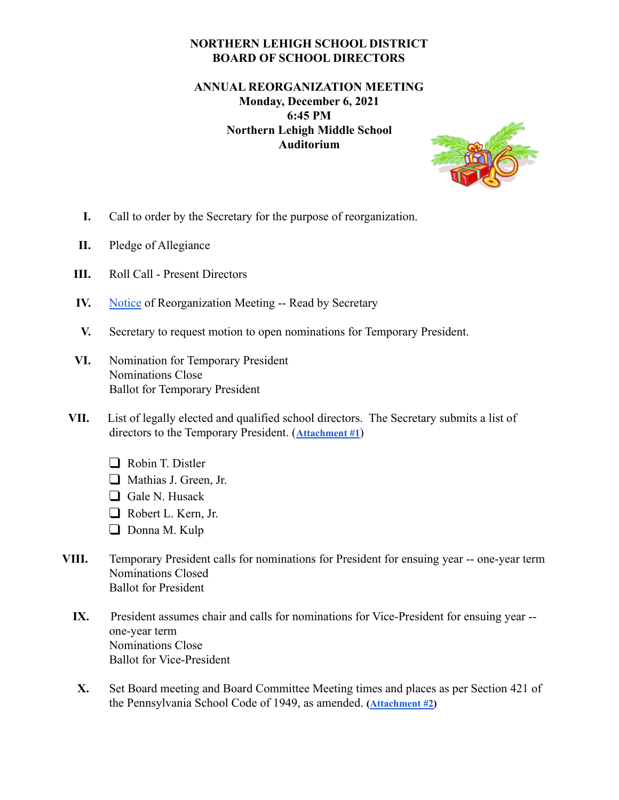## **NORTHERN LEHIGH SCHOOL DISTRICT BOARD OF SCHOOL DIRECTORS**

## **ANNUAL REORGANIZATION MEETING Monday, December 6, 2021 6:45 PM Northern Lehigh Middle School Auditorium**



- **I.** Call to order by the Secretary for the purpose of reorganization.
- **II.** Pledge of Allegiance
- **III.** Roll Call Present Directors
- **IV.** [Notice](https://docs.google.com/document/d/1YUoy_xww94vsOWpeaa_yvaAsU9yMZBpCvDy13oCy6UU/edit?usp=sharing) of Reorganization Meeting -- Read by Secretary
- **V.** Secretary to request motion to open nominations for Temporary President.
- **VI.** Nomination for Temporary President Nominations Close Ballot for Temporary President
- **VII.** List of legally elected and qualified school directors. The Secretary submits a list of directors to the Temporary President. (**[Attachment](https://docs.google.com/document/d/1GL_spikqN__3SmrPN-OdTSp0duY3iYyXeJEALHg6jFo/edit?usp=sharing) #1**)
	- ❑ Robin T. Distler
	- ❑ Mathias J. Green, Jr.
	- ❑ Gale N. Husack
	- ❑ Robert L. Kern, Jr.
	- ❑ Donna M. Kulp
- **VIII.** Temporary President calls for nominations for President for ensuing year -- one-year term Nominations Closed Ballot for President
	- **IX.** President assumes chair and calls for nominations for Vice-President for ensuing year one-year term Nominations Close Ballot for Vice-President
	- **X.** Set Board meeting and Board Committee Meeting times and places as per Section 421 of the Pennsylvania School Code of 1949, as amended. **([Attachment](https://docs.google.com/document/d/1wiFYfWb7M4qu95ChOC0bx8Z7PFGB4XlHuHWS2tvDeuI/edit?usp=sharing) #2)**